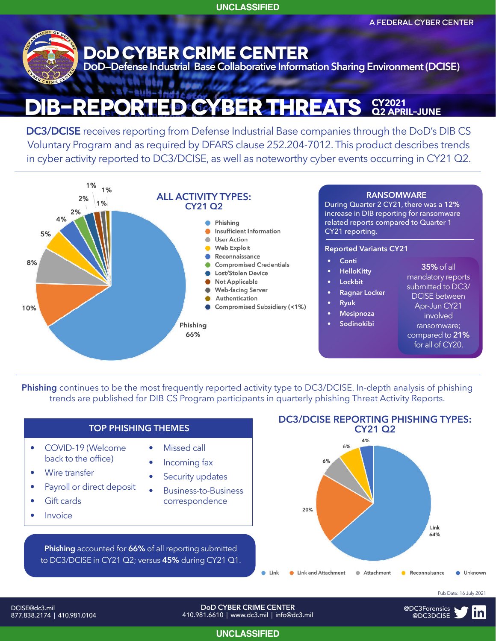**UNCLASSIFIED**

A FEDERAL CYBER CENTER



## **DoD CYBER CRIME CENTER**

wen

 $-60$ 

**DoD—Defense Industrial Base Collaborative Information Sharing Environment (DCISE)**

#### × **ST-MIN-4A DIB-Reported CYBer Threats CY<sup>2021</sup> Q2april–june**

**DC3/DCISE** receives reporting from Defense Industrial Base companies through the DoD's DIB CS Voluntary Program and as required by DFARS clause 252.204-7012. This product describes trends in cyber activity reported to DC3/DCISE, as well as noteworthy cyber events occurring in CY21 Q2.



**Phishing** continues to be the most frequently reported activity type to DC3/DCISE. In-depth analysis of phishing trends are published for DIB CS Program participants in quarterly phishing Threat Activity Reports.



**UNCLASSIFIED**